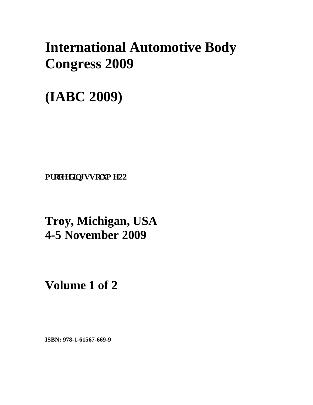# **International Automotive Body Congress 2009**

## **(IABC 2009)**

**Pt** qeggf kpi u Vqnwo g 22

## **Troy, Michigan, USA 4-5 November 2009**

**Volume 1 of 2** 

**ISBN: 978-1-61567-669-9**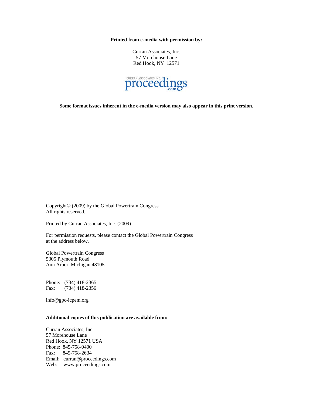**Printed from e-media with permission by:** 

Curran Associates, Inc. 57 Morehouse Lane Red Hook, NY 12571



**Some format issues inherent in the e-media version may also appear in this print version.** 

Copyright© (2009) by the Global Powertrain Congress All rights reserved.

Printed by Curran Associates, Inc. (2009)

For permission requests, please contact the Global Powertrain Congress at the address below.

Global Powertrain Congress 5305 Plymouth Road Ann Arbor, Michigan 48105

Phone: (734) 418-2365 Fax: (734) 418-2356

info@gpc-icpem.org

#### **Additional copies of this publication are available from:**

Curran Associates, Inc. 57 Morehouse Lane Red Hook, NY 12571 USA Phone: 845-758-0400 Fax: 845-758-2634 Email: curran@proceedings.com Web: www.proceedings.com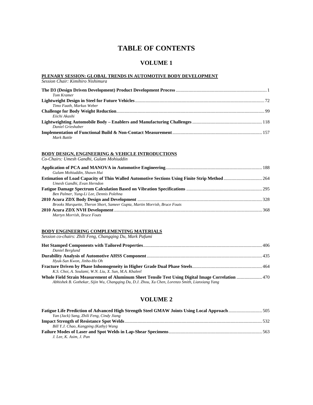### **TABLE OF CONTENTS**

### **VOLUME 1**

#### **PLENARY SESSION: GLOBAL TRENDS IN AUTOMOTIVE BODY DEVELOPMENT**

*Session Chair: Kimihiro Nishimura* 

| Tom Kramer               |  |
|--------------------------|--|
|                          |  |
| Timo Faath, Markus Weber |  |
|                          |  |
| Eiichi Akashi            |  |
|                          |  |
| Daniel Grieshaber        |  |
|                          |  |
| Mark Battle              |  |

#### **BODY DESIGN, ENGINEERING & VEHICLE INTRODUCTIONS**

*Co-Chairs: Umesh Gandhi, Gulam Mohiuddin* 

| Gulam Mohiuddin, Shawn Hui                                                |  |
|---------------------------------------------------------------------------|--|
|                                                                           |  |
| Umesh Gandhi, Evan Herndon                                                |  |
|                                                                           |  |
| Ben Palmer, Yung-Li Lee, Dennis Polehna                                   |  |
|                                                                           |  |
| Brooks Marquette, Theron Short, Sameer Gupta, Martin Morrish, Bruce Fouts |  |
|                                                                           |  |
| Martyn Morrish, Bruce Fouts                                               |  |

#### **BODY ENGINEERING COMPLEMENTING MATERIALS**

*Session co-chairs: Zhili Feng, Changqing Du, Mark Pafumi* 

| Daniel Berglund                                                                                                                                                                                       |  |
|-------------------------------------------------------------------------------------------------------------------------------------------------------------------------------------------------------|--|
|                                                                                                                                                                                                       |  |
| Hyuk-Sun Kwon, Jinho-Ho Oh                                                                                                                                                                            |  |
|                                                                                                                                                                                                       |  |
| K.S. Choi, A. Soulami, W.N. Liu, X. Sun, M.A. Khaleel                                                                                                                                                 |  |
| Whole Field Strain Measurement of Aluminum Sheet Tensile Test Using Digital Image Correlation  470<br>Abhishek B. Gothekar, Sijin Wu, Changqing Du, D.J. Zhou, Xu Chen, Lorenzo Smith, Lianxiang Yang |  |

### **VOLUME 2**

| Yan (Jack) Sang, Zhili Feng, Cindy Jiang |  |
|------------------------------------------|--|
|                                          |  |
| Bill Y.J. Chao, Kangping (Kathy) Wang    |  |
|                                          |  |
| J. Lee, K. Asim, J. Pan                  |  |